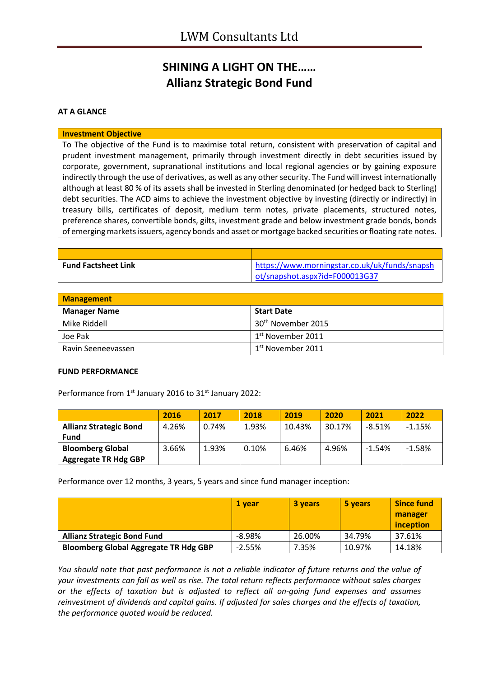# **SHINING A LIGHT ON THE…… Allianz Strategic Bond Fund**

### **AT A GLANCE**

#### **Investment Objective**

To The objective of the Fund is to maximise total return, consistent with preservation of capital and prudent investment management, primarily through investment directly in debt securities issued by corporate, government, supranational institutions and local regional agencies or by gaining exposure indirectly through the use of derivatives, as well as any other security. The Fund will invest internationally although at least 80 % of its assets shall be invested in Sterling denominated (or hedged back to Sterling) debt securities. The ACD aims to achieve the investment objective by investing (directly or indirectly) in treasury bills, certificates of deposit, medium term notes, private placements, structured notes, preference shares, convertible bonds, gilts, investment grade and below investment grade bonds, bonds of emerging markets issuers, agency bonds and asset or mortgage backed securities or floating rate notes.

| <b>Fund Factsheet Link</b> | https://www.morningstar.co.uk/uk/funds/snapsh |
|----------------------------|-----------------------------------------------|
|                            | ot/snapshot.aspx?id=F000013G37                |

| <b>Management</b>   |                                |  |
|---------------------|--------------------------------|--|
| <b>Manager Name</b> | <b>Start Date</b>              |  |
| Mike Riddell        | 30 <sup>th</sup> November 2015 |  |
| Joe Pak             | $1st$ November 2011            |  |
| Ravin Seeneevassen  | $1st$ November 2011            |  |

#### **FUND PERFORMANCE**

Performance from 1<sup>st</sup> January 2016 to 31<sup>st</sup> January 2022:

|                               | 2016  | 2017  | 2018  | 2019   | 2020   | 2021     | 2022     |
|-------------------------------|-------|-------|-------|--------|--------|----------|----------|
| <b>Allianz Strategic Bond</b> | 4.26% | 0.74% | 1.93% | 10.43% | 30.17% | $-8.51%$ | $-1.15%$ |
| <b>Fund</b>                   |       |       |       |        |        |          |          |
| <b>Bloomberg Global</b>       | 3.66% | 1.93% | 0.10% | 6.46%  | 4.96%  | $-1.54%$ | $-1.58%$ |
| <b>Aggregate TR Hdg GBP</b>   |       |       |       |        |        |          |          |

Performance over 12 months, 3 years, 5 years and since fund manager inception:

|                                              | 1 vear    | 3 years | 5 years | <b>Since fund</b> |
|----------------------------------------------|-----------|---------|---------|-------------------|
|                                              |           |         |         | manager           |
|                                              |           |         |         | inception         |
| <b>Allianz Strategic Bond Fund</b>           | $-8.98\%$ | 26.00%  | 34.79%  | 37.61%            |
| <b>Bloomberg Global Aggregate TR Hdg GBP</b> | $-2.55%$  | 7.35%   | 10.97%  | 14.18%            |

*You should note that past performance is not a reliable indicator of future returns and the value of your investments can fall as well as rise. The total return reflects performance without sales charges or the effects of taxation but is adjusted to reflect all on-going fund expenses and assumes reinvestment of dividends and capital gains. If adjusted for sales charges and the effects of taxation, the performance quoted would be reduced.*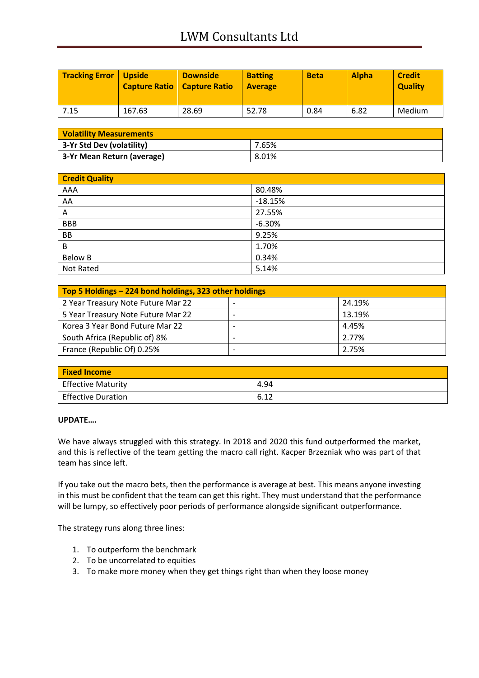# LWM Consultants Ltd

| <b>Tracking Error   Upside</b> | <b>Capture Ratio   Capture Ratio</b> | <b>Downside</b> | <b>Batting</b><br><b>Average</b> | <b>Beta</b> | <b>Alpha</b> | <b>Credit</b><br><b>Quality</b> |
|--------------------------------|--------------------------------------|-----------------|----------------------------------|-------------|--------------|---------------------------------|
| 7.15                           | 167.63                               | 28.69           | 52.78                            | 0.84        | 6.82         | Medium                          |

| <b>Volatility Measurements</b> |       |  |
|--------------------------------|-------|--|
| 3-Yr Std Dev (volatility)      | 7.65% |  |
| 3-Yr Mean Return (average)     | 8.01% |  |

| <b>Credit Quality</b> |           |  |
|-----------------------|-----------|--|
| AAA                   | 80.48%    |  |
| AA                    | $-18.15%$ |  |
| Α                     | 27.55%    |  |
| <b>BBB</b>            | $-6.30%$  |  |
| BB                    | 9.25%     |  |
| B                     | 1.70%     |  |
| <b>Below B</b>        | 0.34%     |  |
| Not Rated             | 5.14%     |  |

| Top 5 Holdings - 224 bond holdings, 323 other holdings |                          |        |
|--------------------------------------------------------|--------------------------|--------|
| 2 Year Treasury Note Future Mar 22                     |                          | 24.19% |
| 5 Year Treasury Note Future Mar 22                     | $\overline{\phantom{0}}$ | 13.19% |
| Korea 3 Year Bond Future Mar 22                        |                          | 4.45%  |
| South Africa (Republic of) 8%                          |                          | 2.77%  |
| France (Republic Of) 0.25%                             |                          | 2.75%  |

| <b>Fixed Income</b>       |      |
|---------------------------|------|
| <b>Effective Maturity</b> | 4.94 |
| Effective Duration        | 6.12 |

### **UPDATE….**

We have always struggled with this strategy. In 2018 and 2020 this fund outperformed the market, and this is reflective of the team getting the macro call right. Kacper Brzezniak who was part of that team has since left.

If you take out the macro bets, then the performance is average at best. This means anyone investing in this must be confident that the team can get this right. They must understand that the performance will be lumpy, so effectively poor periods of performance alongside significant outperformance.

The strategy runs along three lines:

- 1. To outperform the benchmark
- 2. To be uncorrelated to equities
- 3. To make more money when they get things right than when they loose money